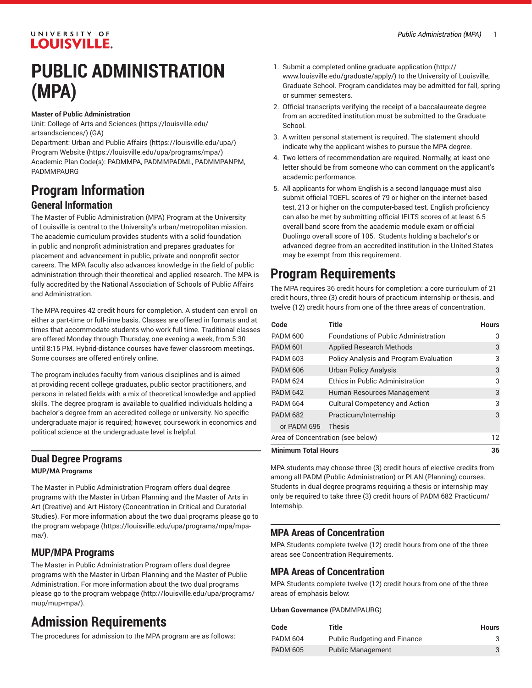### UNIVERSITY OF **LOUISVILLE.**

## **PUBLIC ADMINISTRATION (MPA)**

#### **Master of Public Administration**

Unit: College of Arts and [Sciences \(https://louisville.edu/](https://louisville.edu/artsandsciences/) [artsandsciences/\)](https://louisville.edu/artsandsciences/) (GA)

Department: [Urban and Public Affairs](https://louisville.edu/upa/) (<https://louisville.edu/upa/>) [Program](https://louisville.edu/upa/programs/mpa/) Website [\(https://louisville.edu/upa/programs/mpa/](https://louisville.edu/upa/programs/mpa/)) Academic Plan Code(s): PADMMPA, PADMMPADML, PADMMPANPM, PADMMPAURG

# **Program Information**

### **General Information**

The Master of Public Administration (MPA) Program at the University of Louisville is central to the University's urban/metropolitan mission. The academic curriculum provides students with a solid foundation in public and nonprofit administration and prepares graduates for placement and advancement in public, private and nonprofit sector careers. The MPA faculty also advances knowledge in the field of public administration through their theoretical and applied research. The MPA is fully accredited by the National Association of Schools of Public Affairs and Administration.

The MPA requires 42 credit hours for completion. A student can enroll on either a part-time or full-time basis. Classes are offered in formats and at times that accommodate students who work full time. Traditional classes are offered Monday through Thursday, one evening a week, from 5:30 until 8:15 PM. Hybrid-distance courses have fewer classroom meetings. Some courses are offered entirely online.

The program includes faculty from various disciplines and is aimed at providing recent college graduates, public sector practitioners, and persons in related fields with a mix of theoretical knowledge and applied skills. The degree program is available to qualified individuals holding a bachelor's degree from an accredited college or university. No specific undergraduate major is required; however, coursework in economics and political science at the undergraduate level is helpful.

### **Dual Degree Programs MUP/MA Programs**

The Master in Public Administration Program offers dual degree programs with the Master in Urban Planning and the Master of Arts in Art (Creative) and Art History (Concentration in Critical and Curatorial Studies). For more information about the two dual programs please go to the program [webpage](https://louisville.edu/upa/programs/mpa/mpa-ma/) [\(https://louisville.edu/upa/programs/mpa/mpa](https://louisville.edu/upa/programs/mpa/mpa-ma/)[ma/\)](https://louisville.edu/upa/programs/mpa/mpa-ma/).

### **MUP/MPA Programs**

The Master in Public Administration Program offers dual degree programs with the Master in Urban Planning and the Master of Public Administration. For more information about the two dual programs please go to the program [webpage](http://louisville.edu/upa/programs/mup/mup-mpa/) ([http://louisville.edu/upa/programs/](http://louisville.edu/upa/programs/mup/mup-mpa/) [mup/mup-mpa/\)](http://louisville.edu/upa/programs/mup/mup-mpa/).

## **Admission Requirements**

The procedures for admission to the MPA program are as follows:

- 1. Submit a [completed online graduate application \(http://](http://www.louisville.edu/graduate/apply/) [www.louisville.edu/graduate/apply/\)](http://www.louisville.edu/graduate/apply/) to the University of Louisville, Graduate School. Program candidates may be admitted for fall, spring or summer semesters.
- 2. Official transcripts verifying the receipt of a baccalaureate degree from an accredited institution must be submitted to the Graduate School.
- 3. A written personal statement is required. The statement should indicate why the applicant wishes to pursue the MPA degree.
- 4. Two letters of recommendation are required. Normally, at least one letter should be from someone who can comment on the applicant's academic performance.
- 5. All applicants for whom English is a second language must also submit official TOEFL scores of 79 or higher on the internet-based test, 213 or higher on the computer-based test. English proficiency can also be met by submitting official IELTS scores of at least 6.5 overall band score from the academic module exam or official Duolingo overall score of 105. Students holding a bachelor's or advanced degree from an accredited institution in the United States may be exempt from this requirement.

## **Program Requirements**

The MPA requires 36 credit hours for completion: a core curriculum of 21 credit hours, three (3) credit hours of practicum internship or thesis, and twelve (12) credit hours from one of the three areas of concentration.

| Code                              | Title                                         | <b>Hours</b> |
|-----------------------------------|-----------------------------------------------|--------------|
| <b>PADM 600</b>                   | <b>Foundations of Public Administration</b>   | 3            |
| <b>PADM 601</b>                   | <b>Applied Research Methods</b>               | 3            |
| <b>PADM 603</b>                   | <b>Policy Analysis and Program Evaluation</b> | 3            |
| <b>PADM 606</b>                   | <b>Urban Policy Analysis</b>                  | 3            |
| <b>PADM 624</b>                   | <b>Ethics in Public Administration</b>        | 3            |
| <b>PADM 642</b>                   | Human Resources Management                    | 3            |
| <b>PADM 664</b>                   | <b>Cultural Competency and Action</b>         | 3            |
| <b>PADM 682</b>                   | Practicum/Internship                          | 3            |
| or PADM 695                       | Thesis                                        |              |
| Area of Concentration (see below) |                                               | 12           |
| <b>Minimum Total Hours</b>        |                                               | 36           |

MPA students may choose three (3) credit hours of elective credits from among all PADM (Public Administration) or PLAN (Planning) courses. Students in dual degree programs requiring a thesis or internship may only be required to take three (3) credit hours of PADM 682 Practicum/ Internship.

### **MPA Areas of Concentration**

MPA Students complete twelve (12) credit hours from one of the three areas see Concentration Requirements.

### **MPA Areas of Concentration**

MPA Students complete twelve (12) credit hours from one of the three areas of emphasis below:

**Urban Governance** (PADMMPAURG)

| Code            | Title                               | <b>Hours</b> |
|-----------------|-------------------------------------|--------------|
| <b>PADM 604</b> | <b>Public Budgeting and Finance</b> |              |
| <b>PADM 605</b> | <b>Public Management</b>            | 3            |